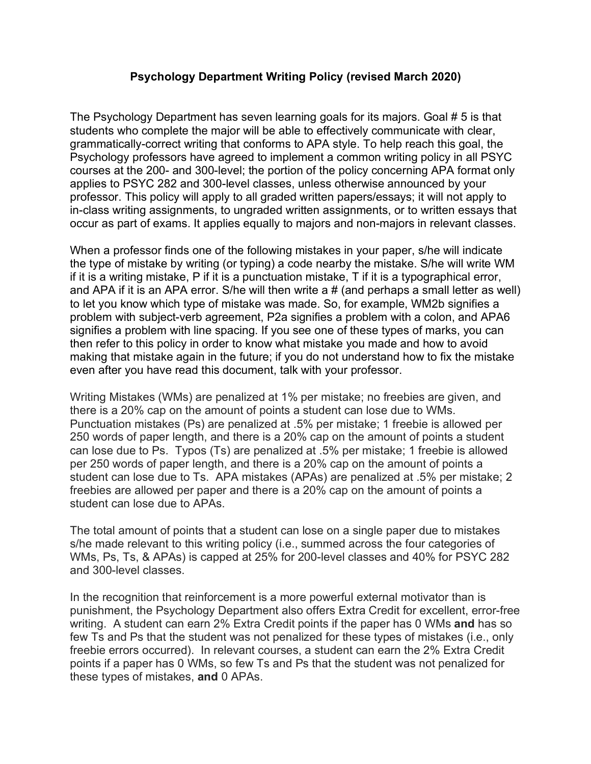#### **Psychology Department Writing Policy (revised March 2020)**

The Psychology Department has seven learning goals for its majors. Goal # 5 is that students who complete the major will be able to effectively communicate with clear, grammatically-correct writing that conforms to APA style. To help reach this goal, the Psychology professors have agreed to implement a common writing policy in all PSYC courses at the 200- and 300-level; the portion of the policy concerning APA format only applies to PSYC 282 and 300-level classes, unless otherwise announced by your professor. This policy will apply to all graded written papers/essays; it will not apply to in-class writing assignments, to ungraded written assignments, or to written essays that occur as part of exams. It applies equally to majors and non-majors in relevant classes.

When a professor finds one of the following mistakes in your paper, s/he will indicate the type of mistake by writing (or typing) a code nearby the mistake. S/he will write WM if it is a writing mistake, P if it is a punctuation mistake, T if it is a typographical error, and APA if it is an APA error. S/he will then write a # (and perhaps a small letter as well) to let you know which type of mistake was made. So, for example, WM2b signifies a problem with subject-verb agreement, P2a signifies a problem with a colon, and APA6 signifies a problem with line spacing. If you see one of these types of marks, you can then refer to this policy in order to know what mistake you made and how to avoid making that mistake again in the future; if you do not understand how to fix the mistake even after you have read this document, talk with your professor.

Writing Mistakes (WMs) are penalized at 1% per mistake; no freebies are given, and there is a 20% cap on the amount of points a student can lose due to WMs. Punctuation mistakes (Ps) are penalized at .5% per mistake; 1 freebie is allowed per 250 words of paper length, and there is a 20% cap on the amount of points a student can lose due to Ps. Typos (Ts) are penalized at .5% per mistake; 1 freebie is allowed per 250 words of paper length, and there is a 20% cap on the amount of points a student can lose due to Ts. APA mistakes (APAs) are penalized at .5% per mistake; 2 freebies are allowed per paper and there is a 20% cap on the amount of points a student can lose due to APAs.

The total amount of points that a student can lose on a single paper due to mistakes s/he made relevant to this writing policy (i.e., summed across the four categories of WMs, Ps, Ts, & APAs) is capped at 25% for 200-level classes and 40% for PSYC 282 and 300-level classes.

In the recognition that reinforcement is a more powerful external motivator than is punishment, the Psychology Department also offers Extra Credit for excellent, error-free writing. A student can earn 2% Extra Credit points if the paper has 0 WMs **and** has so few Ts and Ps that the student was not penalized for these types of mistakes (i.e., only freebie errors occurred). In relevant courses, a student can earn the 2% Extra Credit points if a paper has 0 WMs, so few Ts and Ps that the student was not penalized for these types of mistakes, **and** 0 APAs.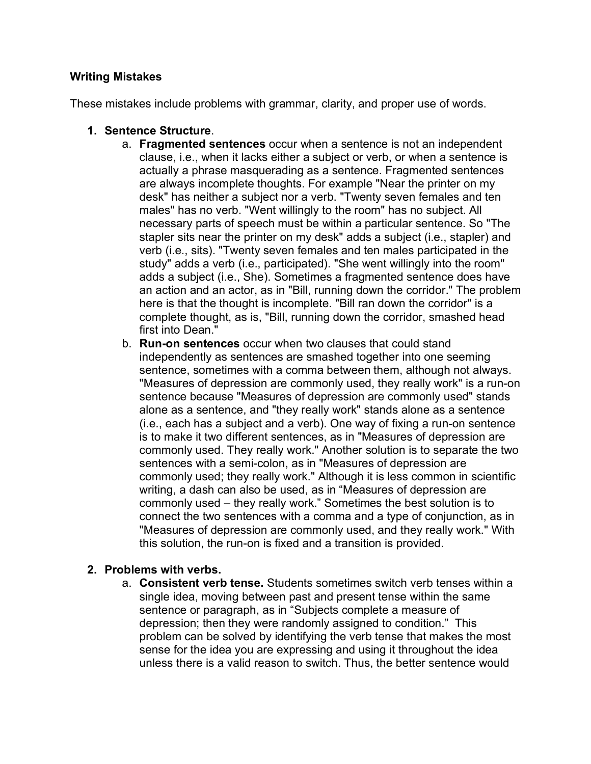## **Writing Mistakes**

These mistakes include problems with grammar, clarity, and proper use of words.

- **1. Sentence Structure**.
	- a. **Fragmented sentences** occur when a sentence is not an independent clause, i.e., when it lacks either a subject or verb, or when a sentence is actually a phrase masquerading as a sentence. Fragmented sentences are always incomplete thoughts. For example "Near the printer on my desk" has neither a subject nor a verb. "Twenty seven females and ten males" has no verb. "Went willingly to the room" has no subject. All necessary parts of speech must be within a particular sentence. So "The stapler sits near the printer on my desk" adds a subject (i.e., stapler) and verb (i.e., sits). "Twenty seven females and ten males participated in the study" adds a verb (i.e., participated). "She went willingly into the room" adds a subject (i.e., She). Sometimes a fragmented sentence does have an action and an actor, as in "Bill, running down the corridor." The problem here is that the thought is incomplete. "Bill ran down the corridor" is a complete thought, as is, "Bill, running down the corridor, smashed head first into Dean."
	- b. **Run-on sentences** occur when two clauses that could stand independently as sentences are smashed together into one seeming sentence, sometimes with a comma between them, although not always. "Measures of depression are commonly used, they really work" is a run-on sentence because "Measures of depression are commonly used" stands alone as a sentence, and "they really work" stands alone as a sentence (i.e., each has a subject and a verb). One way of fixing a run-on sentence is to make it two different sentences, as in "Measures of depression are commonly used. They really work." Another solution is to separate the two sentences with a semi-colon, as in "Measures of depression are commonly used; they really work." Although it is less common in scientific writing, a dash can also be used, as in "Measures of depression are commonly used – they really work." Sometimes the best solution is to connect the two sentences with a comma and a type of conjunction, as in "Measures of depression are commonly used, and they really work." With this solution, the run-on is fixed and a transition is provided.

#### **2. Problems with verbs.**

a. **Consistent verb tense.** Students sometimes switch verb tenses within a single idea, moving between past and present tense within the same sentence or paragraph, as in "Subjects complete a measure of depression; then they were randomly assigned to condition." This problem can be solved by identifying the verb tense that makes the most sense for the idea you are expressing and using it throughout the idea unless there is a valid reason to switch. Thus, the better sentence would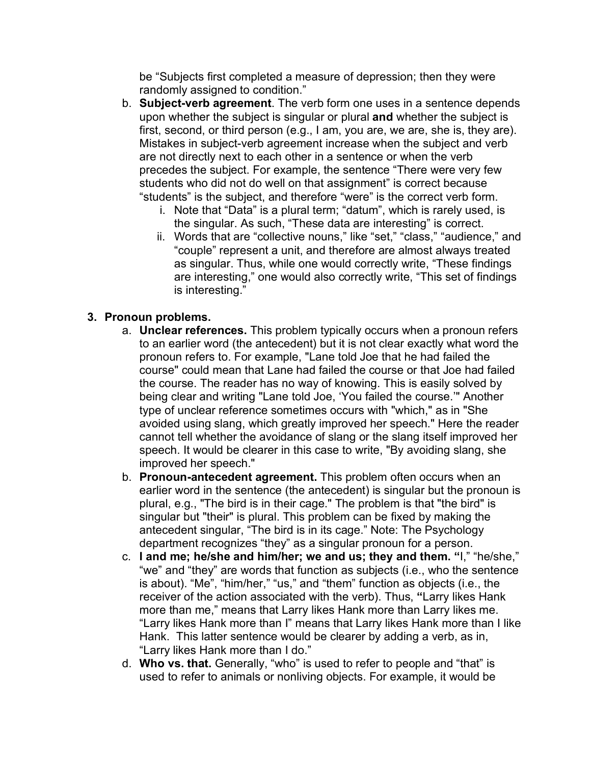be "Subjects first completed a measure of depression; then they were randomly assigned to condition."

- b. **Subject-verb agreement**. The verb form one uses in a sentence depends upon whether the subject is singular or plural **and** whether the subject is first, second, or third person (e.g., I am, you are, we are, she is, they are). Mistakes in subject-verb agreement increase when the subject and verb are not directly next to each other in a sentence or when the verb precedes the subject. For example, the sentence "There were very few students who did not do well on that assignment" is correct because "students" is the subject, and therefore "were" is the correct verb form.
	- i. Note that "Data" is a plural term; "datum", which is rarely used, is the singular. As such, "These data are interesting" is correct.
	- ii. Words that are "collective nouns," like "set," "class," "audience," and "couple" represent a unit, and therefore are almost always treated as singular. Thus, while one would correctly write, "These findings are interesting," one would also correctly write, "This set of findings is interesting."

## **3. Pronoun problems.**

- a. **Unclear references.** This problem typically occurs when a pronoun refers to an earlier word (the antecedent) but it is not clear exactly what word the pronoun refers to. For example, "Lane told Joe that he had failed the course" could mean that Lane had failed the course or that Joe had failed the course. The reader has no way of knowing. This is easily solved by being clear and writing "Lane told Joe, 'You failed the course.'" Another type of unclear reference sometimes occurs with "which," as in "She avoided using slang, which greatly improved her speech." Here the reader cannot tell whether the avoidance of slang or the slang itself improved her speech. It would be clearer in this case to write, "By avoiding slang, she improved her speech."
- b. **Pronoun-antecedent agreement.** This problem often occurs when an earlier word in the sentence (the antecedent) is singular but the pronoun is plural, e.g., "The bird is in their cage." The problem is that "the bird" is singular but "their" is plural. This problem can be fixed by making the antecedent singular, "The bird is in its cage." Note: The Psychology department recognizes "they" as a singular pronoun for a person.
- c. **I and me; he/she and him/her; we and us; they and them. "**I," "he/she," "we" and "they" are words that function as subjects (i.e., who the sentence is about). "Me", "him/her," "us," and "them" function as objects (i.e., the receiver of the action associated with the verb). Thus, **"**Larry likes Hank more than me," means that Larry likes Hank more than Larry likes me. "Larry likes Hank more than I" means that Larry likes Hank more than I like Hank. This latter sentence would be clearer by adding a verb, as in, "Larry likes Hank more than I do."
- d. **Who vs. that.** Generally, "who" is used to refer to people and "that" is used to refer to animals or nonliving objects. For example, it would be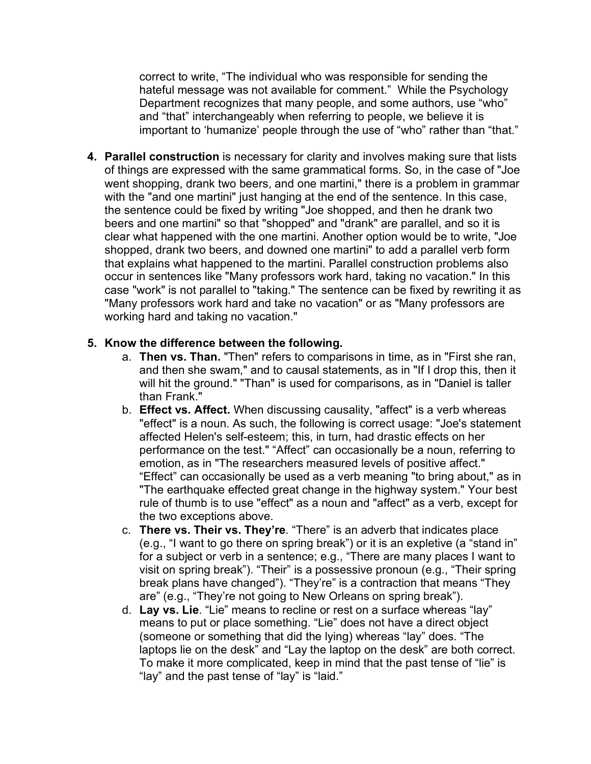correct to write, "The individual who was responsible for sending the hateful message was not available for comment." While the Psychology Department recognizes that many people, and some authors, use "who" and "that" interchangeably when referring to people, we believe it is important to 'humanize' people through the use of "who" rather than "that."

**4. Parallel construction** is necessary for clarity and involves making sure that lists of things are expressed with the same grammatical forms. So, in the case of "Joe went shopping, drank two beers, and one martini," there is a problem in grammar with the "and one martini" just hanging at the end of the sentence. In this case, the sentence could be fixed by writing "Joe shopped, and then he drank two beers and one martini" so that "shopped" and "drank" are parallel, and so it is clear what happened with the one martini. Another option would be to write, "Joe shopped, drank two beers, and downed one martini" to add a parallel verb form that explains what happened to the martini. Parallel construction problems also occur in sentences like "Many professors work hard, taking no vacation." In this case "work" is not parallel to "taking." The sentence can be fixed by rewriting it as "Many professors work hard and take no vacation" or as "Many professors are working hard and taking no vacation."

## **5. Know the difference between the following.**

- a. **Then vs. Than.** "Then" refers to comparisons in time, as in "First she ran, and then she swam," and to causal statements, as in "If I drop this, then it will hit the ground." "Than" is used for comparisons, as in "Daniel is taller than Frank."
- b. **Effect vs. Affect.** When discussing causality, "affect" is a verb whereas "effect" is a noun. As such, the following is correct usage: "Joe's statement affected Helen's self-esteem; this, in turn, had drastic effects on her performance on the test." "Affect" can occasionally be a noun, referring to emotion, as in "The researchers measured levels of positive affect." "Effect" can occasionally be used as a verb meaning "to bring about," as in "The earthquake effected great change in the highway system." Your best rule of thumb is to use "effect" as a noun and "affect" as a verb, except for the two exceptions above.
- c. **There vs. Their vs. They're**. "There" is an adverb that indicates place (e.g., "I want to go there on spring break") or it is an expletive (a "stand in" for a subject or verb in a sentence; e.g., "There are many places I want to visit on spring break"). "Their" is a possessive pronoun (e.g., "Their spring break plans have changed"). "They're" is a contraction that means "They are" (e.g., "They're not going to New Orleans on spring break").
- d. **Lay vs. Lie**. "Lie" means to recline or rest on a surface whereas "lay" means to put or place something. "Lie" does not have a direct object (someone or something that did the lying) whereas "lay" does. "The laptops lie on the desk" and "Lay the laptop on the desk" are both correct. To make it more complicated, keep in mind that the past tense of "lie" is "lay" and the past tense of "lay" is "laid."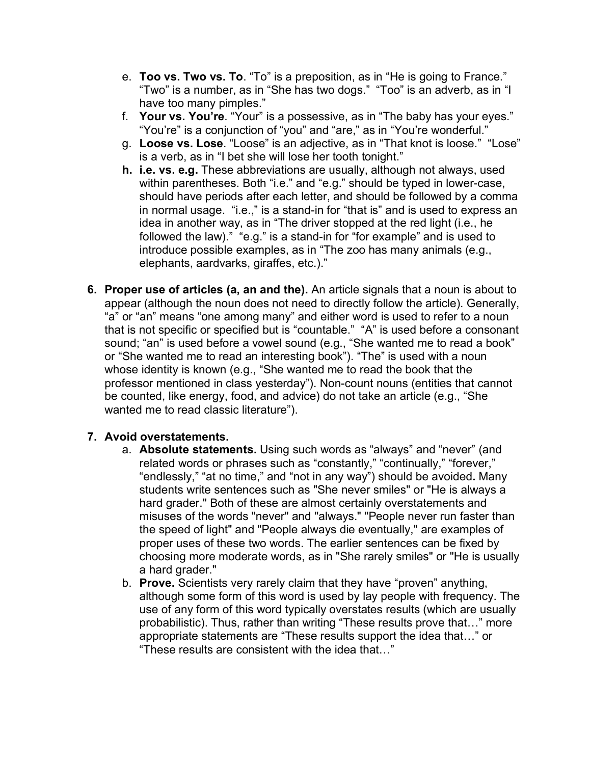- e. **Too vs. Two vs. To**. "To" is a preposition, as in "He is going to France." "Two" is a number, as in "She has two dogs." "Too" is an adverb, as in "I have too many pimples."
- f. **Your vs. You're**. "Your" is a possessive, as in "The baby has your eyes." "You're" is a conjunction of "you" and "are," as in "You're wonderful."
- g. **Loose vs. Lose**. "Loose" is an adjective, as in "That knot is loose." "Lose" is a verb, as in "I bet she will lose her tooth tonight."
- **h. i.e. vs. e.g.** These abbreviations are usually, although not always, used within parentheses. Both "i.e." and "e.g." should be typed in lower-case, should have periods after each letter, and should be followed by a comma in normal usage. "i.e.," is a stand-in for "that is" and is used to express an idea in another way, as in "The driver stopped at the red light (i.e., he followed the law)." "e.g." is a stand-in for "for example" and is used to introduce possible examples, as in "The zoo has many animals (e.g., elephants, aardvarks, giraffes, etc.)."
- **6. Proper use of articles (a, an and the).** An article signals that a noun is about to appear (although the noun does not need to directly follow the article). Generally, "a" or "an" means "one among many" and either word is used to refer to a noun that is not specific or specified but is "countable." "A" is used before a consonant sound; "an" is used before a vowel sound (e.g., "She wanted me to read a book" or "She wanted me to read an interesting book"). "The" is used with a noun whose identity is known (e.g., "She wanted me to read the book that the professor mentioned in class yesterday"). Non-count nouns (entities that cannot be counted, like energy, food, and advice) do not take an article (e.g., "She wanted me to read classic literature").

#### **7. Avoid overstatements.**

- a. **Absolute statements.** Using such words as "always" and "never" (and related words or phrases such as "constantly," "continually," "forever," "endlessly," "at no time," and "not in any way") should be avoided**.** Many students write sentences such as "She never smiles" or "He is always a hard grader." Both of these are almost certainly overstatements and misuses of the words "never" and "always." "People never run faster than the speed of light" and "People always die eventually," are examples of proper uses of these two words. The earlier sentences can be fixed by choosing more moderate words, as in "She rarely smiles" or "He is usually a hard grader."
- b. **Prove.** Scientists very rarely claim that they have "proven" anything, although some form of this word is used by lay people with frequency. The use of any form of this word typically overstates results (which are usually probabilistic). Thus, rather than writing "These results prove that…" more appropriate statements are "These results support the idea that…" or "These results are consistent with the idea that…"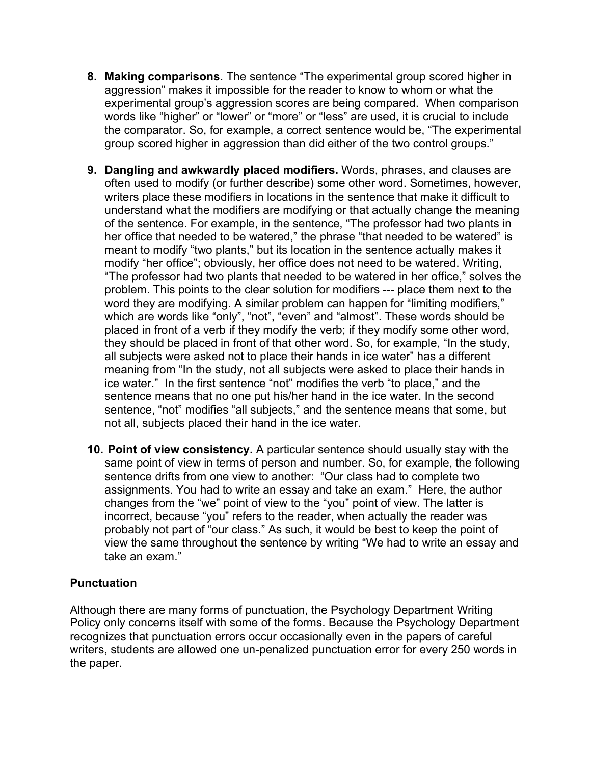- **8. Making comparisons**. The sentence "The experimental group scored higher in aggression" makes it impossible for the reader to know to whom or what the experimental group's aggression scores are being compared. When comparison words like "higher" or "lower" or "more" or "less" are used, it is crucial to include the comparator. So, for example, a correct sentence would be, "The experimental group scored higher in aggression than did either of the two control groups."
- **9. Dangling and awkwardly placed modifiers.** Words, phrases, and clauses are often used to modify (or further describe) some other word. Sometimes, however, writers place these modifiers in locations in the sentence that make it difficult to understand what the modifiers are modifying or that actually change the meaning of the sentence. For example, in the sentence, "The professor had two plants in her office that needed to be watered," the phrase "that needed to be watered" is meant to modify "two plants," but its location in the sentence actually makes it modify "her office"; obviously, her office does not need to be watered. Writing, "The professor had two plants that needed to be watered in her office," solves the problem. This points to the clear solution for modifiers --- place them next to the word they are modifying. A similar problem can happen for "limiting modifiers," which are words like "only", "not", "even" and "almost". These words should be placed in front of a verb if they modify the verb; if they modify some other word, they should be placed in front of that other word. So, for example, "In the study, all subjects were asked not to place their hands in ice water" has a different meaning from "In the study, not all subjects were asked to place their hands in ice water." In the first sentence "not" modifies the verb "to place," and the sentence means that no one put his/her hand in the ice water. In the second sentence, "not" modifies "all subjects," and the sentence means that some, but not all, subjects placed their hand in the ice water.
- **10. Point of view consistency.** A particular sentence should usually stay with the same point of view in terms of person and number. So, for example, the following sentence drifts from one view to another: "Our class had to complete two assignments. You had to write an essay and take an exam." Here, the author changes from the "we" point of view to the "you" point of view. The latter is incorrect, because "you" refers to the reader, when actually the reader was probably not part of "our class." As such, it would be best to keep the point of view the same throughout the sentence by writing "We had to write an essay and take an exam."

# **Punctuation**

Although there are many forms of punctuation, the Psychology Department Writing Policy only concerns itself with some of the forms. Because the Psychology Department recognizes that punctuation errors occur occasionally even in the papers of careful writers, students are allowed one un-penalized punctuation error for every 250 words in the paper.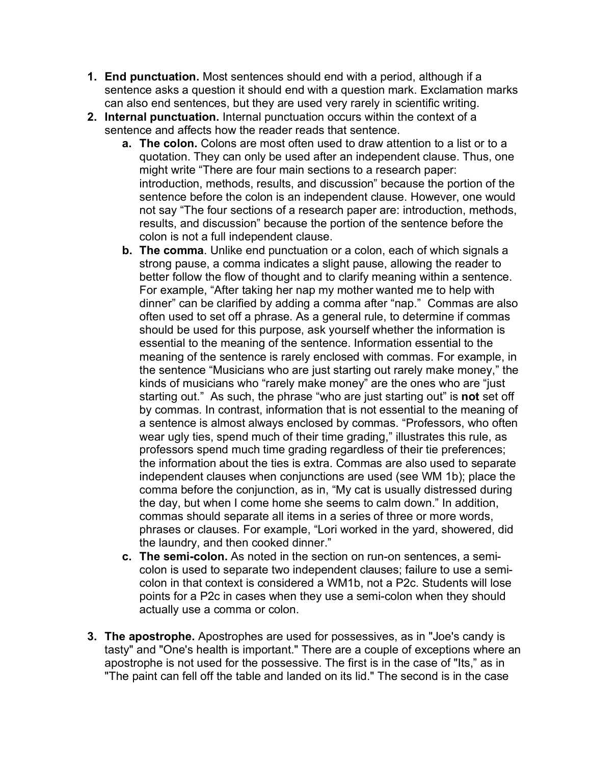- **1. End punctuation.** Most sentences should end with a period, although if a sentence asks a question it should end with a question mark. Exclamation marks can also end sentences, but they are used very rarely in scientific writing.
- **2. Internal punctuation.** Internal punctuation occurs within the context of a sentence and affects how the reader reads that sentence.
	- **a. The colon.** Colons are most often used to draw attention to a list or to a quotation. They can only be used after an independent clause. Thus, one might write "There are four main sections to a research paper: introduction, methods, results, and discussion" because the portion of the sentence before the colon is an independent clause. However, one would not say "The four sections of a research paper are: introduction, methods, results, and discussion" because the portion of the sentence before the colon is not a full independent clause.
	- **b. The comma**. Unlike end punctuation or a colon, each of which signals a strong pause, a comma indicates a slight pause, allowing the reader to better follow the flow of thought and to clarify meaning within a sentence. For example, "After taking her nap my mother wanted me to help with dinner" can be clarified by adding a comma after "nap." Commas are also often used to set off a phrase. As a general rule, to determine if commas should be used for this purpose, ask yourself whether the information is essential to the meaning of the sentence. Information essential to the meaning of the sentence is rarely enclosed with commas. For example, in the sentence "Musicians who are just starting out rarely make money," the kinds of musicians who "rarely make money" are the ones who are "just starting out." As such, the phrase "who are just starting out" is **not** set off by commas. In contrast, information that is not essential to the meaning of a sentence is almost always enclosed by commas. "Professors, who often wear ugly ties, spend much of their time grading," illustrates this rule, as professors spend much time grading regardless of their tie preferences; the information about the ties is extra. Commas are also used to separate independent clauses when conjunctions are used (see WM 1b); place the comma before the conjunction, as in, "My cat is usually distressed during the day, but when I come home she seems to calm down." In addition, commas should separate all items in a series of three or more words, phrases or clauses. For example, "Lori worked in the yard, showered, did the laundry, and then cooked dinner."
	- **c. The semi-colon.** As noted in the section on run-on sentences, a semicolon is used to separate two independent clauses; failure to use a semicolon in that context is considered a WM1b, not a P2c. Students will lose points for a P2c in cases when they use a semi-colon when they should actually use a comma or colon.
- **3. The apostrophe.** Apostrophes are used for possessives, as in "Joe's candy is tasty" and "One's health is important." There are a couple of exceptions where an apostrophe is not used for the possessive. The first is in the case of "Its," as in "The paint can fell off the table and landed on its lid." The second is in the case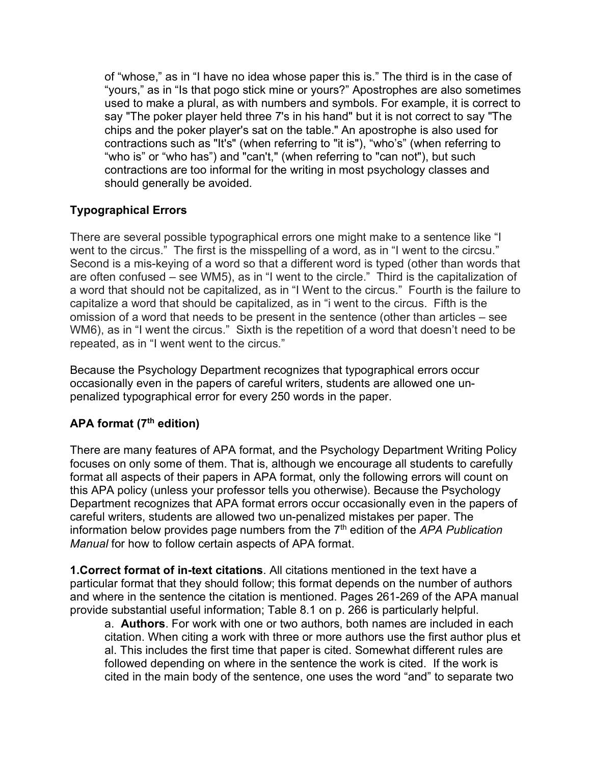of "whose," as in "I have no idea whose paper this is." The third is in the case of "yours," as in "Is that pogo stick mine or yours?" Apostrophes are also sometimes used to make a plural, as with numbers and symbols. For example, it is correct to say "The poker player held three 7's in his hand" but it is not correct to say "The chips and the poker player's sat on the table." An apostrophe is also used for contractions such as "It's" (when referring to "it is"), "who's" (when referring to "who is" or "who has") and "can't," (when referring to "can not"), but such contractions are too informal for the writing in most psychology classes and should generally be avoided.

# **Typographical Errors**

There are several possible typographical errors one might make to a sentence like "I went to the circus." The first is the misspelling of a word, as in "I went to the circsu." Second is a mis-keying of a word so that a different word is typed (other than words that are often confused – see WM5), as in "I went to the circle." Third is the capitalization of a word that should not be capitalized, as in "I Went to the circus." Fourth is the failure to capitalize a word that should be capitalized, as in "i went to the circus. Fifth is the omission of a word that needs to be present in the sentence (other than articles – see WM6), as in "I went the circus." Sixth is the repetition of a word that doesn't need to be repeated, as in "I went went to the circus."

Because the Psychology Department recognizes that typographical errors occur occasionally even in the papers of careful writers, students are allowed one unpenalized typographical error for every 250 words in the paper.

# **APA format (7th edition)**

There are many features of APA format, and the Psychology Department Writing Policy focuses on only some of them. That is, although we encourage all students to carefully format all aspects of their papers in APA format, only the following errors will count on this APA policy (unless your professor tells you otherwise). Because the Psychology Department recognizes that APA format errors occur occasionally even in the papers of careful writers, students are allowed two un-penalized mistakes per paper. The information below provides page numbers from the 7<sup>th</sup> edition of the *APA Publication Manual* for how to follow certain aspects of APA format.

**1.Correct format of in-text citations**. All citations mentioned in the text have a particular format that they should follow; this format depends on the number of authors and where in the sentence the citation is mentioned. Pages 261-269 of the APA manual provide substantial useful information; Table 8.1 on p. 266 is particularly helpful.

a. **Authors**. For work with one or two authors, both names are included in each citation. When citing a work with three or more authors use the first author plus et al. This includes the first time that paper is cited. Somewhat different rules are followed depending on where in the sentence the work is cited. If the work is cited in the main body of the sentence, one uses the word "and" to separate two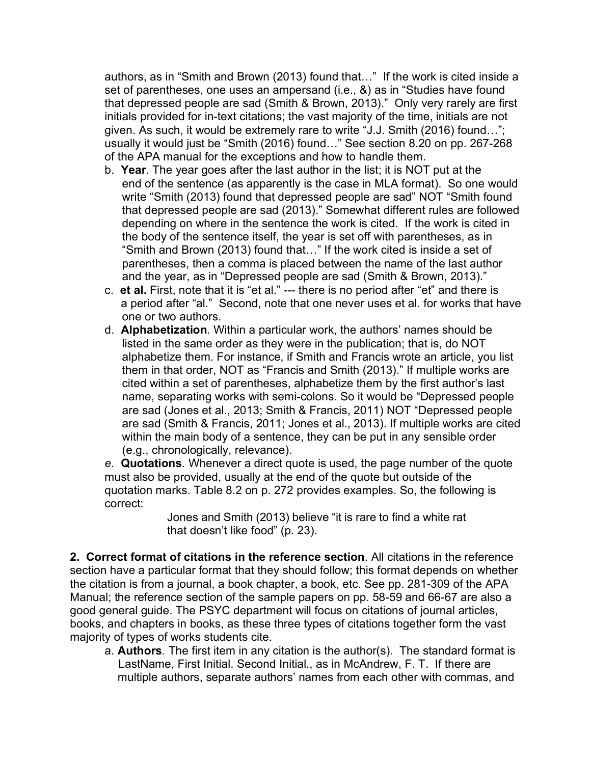authors, as in "Smith and Brown (2013) found that…" If the work is cited inside a set of parentheses, one uses an ampersand (i.e., &) as in "Studies have found that depressed people are sad (Smith & Brown, 2013)." Only very rarely are first initials provided for in-text citations; the vast majority of the time, initials are not given. As such, it would be extremely rare to write "J.J. Smith (2016) found…"; usually it would just be "Smith (2016) found…" See section 8.20 on pp. 267-268 of the APA manual for the exceptions and how to handle them.

- b. **Year**. The year goes after the last author in the list; it is NOT put at the end of the sentence (as apparently is the case in MLA format). So one would write "Smith (2013) found that depressed people are sad" NOT "Smith found that depressed people are sad (2013)." Somewhat different rules are followed depending on where in the sentence the work is cited. If the work is cited in the body of the sentence itself, the year is set off with parentheses, as in "Smith and Brown (2013) found that…" If the work cited is inside a set of parentheses, then a comma is placed between the name of the last author and the year, as in "Depressed people are sad (Smith & Brown, 2013)."
- c. **et al.** First, note that it is "et al." --- there is no period after "et" and there is a period after "al." Second, note that one never uses et al. for works that have one or two authors.
- d. **Alphabetization***.* Within a particular work, the authors' names should be listed in the same order as they were in the publication; that is, do NOT alphabetize them. For instance, if Smith and Francis wrote an article, you list them in that order, NOT as "Francis and Smith (2013)." If multiple works are cited within a set of parentheses, alphabetize them by the first author's last name, separating works with semi-colons. So it would be "Depressed people are sad (Jones et al., 2013; Smith & Francis, 2011) NOT "Depressed people are sad (Smith & Francis, 2011; Jones et al., 2013). If multiple works are cited within the main body of a sentence, they can be put in any sensible order (e.g., chronologically, relevance).

*e.* **Quotations***.* Whenever a direct quote is used, the page number of the quote must also be provided, usually at the end of the quote but outside of the quotation marks. Table 8.2 on p. 272 provides examples. So, the following is correct:

Jones and Smith (2013) believe "it is rare to find a white rat that doesn't like food" (p. 23).

**2. Correct format of citations in the reference section**. All citations in the reference section have a particular format that they should follow; this format depends on whether the citation is from a journal, a book chapter, a book, etc. See pp. 281-309 of the APA Manual; the reference section of the sample papers on pp. 58-59 and 66-67 are also a good general guide. The PSYC department will focus on citations of journal articles, books, and chapters in books, as these three types of citations together form the vast majority of types of works students cite.

a. **Authors***.* The first item in any citation is the author(s). The standard format is LastName, First Initial. Second Initial., as in McAndrew, F. T. If there are multiple authors, separate authors' names from each other with commas, and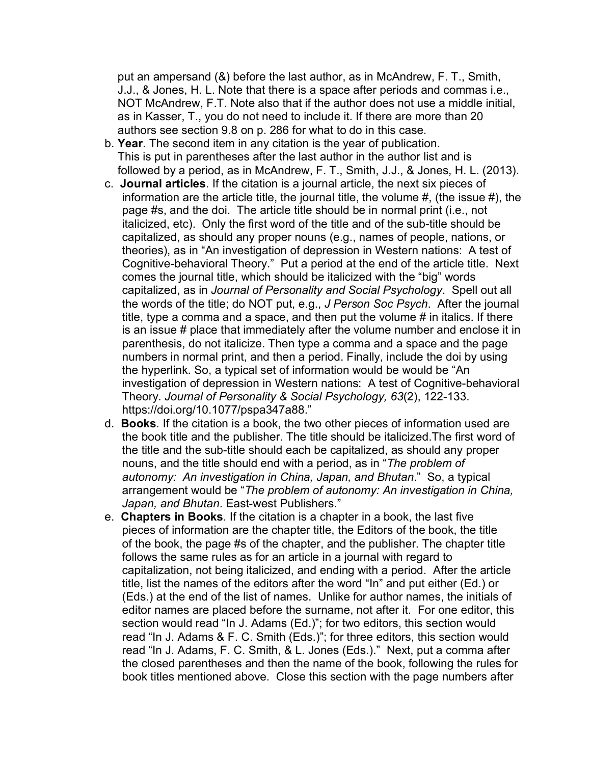put an ampersand (&) before the last author, as in McAndrew, F. T., Smith, J.J., & Jones, H. L. Note that there is a space after periods and commas i.e., NOT McAndrew, F.T. Note also that if the author does not use a middle initial, as in Kasser, T., you do not need to include it. If there are more than 20 authors see section 9.8 on p. 286 for what to do in this case.

- b. **Year**. The second item in any citation is the year of publication. This is put in parentheses after the last author in the author list and is followed by a period, as in McAndrew, F. T., Smith, J.J., & Jones, H. L. (2013).
- c. **Journal articles**. If the citation is a journal article, the next six pieces of information are the article title, the journal title, the volume #, (the issue #), the page #s, and the doi. The article title should be in normal print (i.e., not italicized, etc). Only the first word of the title and of the sub-title should be capitalized, as should any proper nouns (e.g., names of people, nations, or theories), as in "An investigation of depression in Western nations: A test of Cognitive-behavioral Theory." Put a period at the end of the article title. Next comes the journal title, which should be italicized with the "big" words capitalized, as in *Journal of Personality and Social Psychology*. Spell out all the words of the title; do NOT put, e.g., *J Person Soc Psych*. After the journal title, type a comma and a space, and then put the volume # in italics. If there is an issue # place that immediately after the volume number and enclose it in parenthesis, do not italicize. Then type a comma and a space and the page numbers in normal print, and then a period. Finally, include the doi by using the hyperlink. So, a typical set of information would be would be "An investigation of depression in Western nations: A test of Cognitive-behavioral Theory. *Journal of Personality & Social Psychology, 63*(2), 122-133. https://doi.org/10.1077/pspa347a88."
- d. **Books***.* If the citation is a book, the two other pieces of information used are the book title and the publisher. The title should be italicized.The first word of the title and the sub-title should each be capitalized, as should any proper nouns, and the title should end with a period, as in "*The problem of autonomy: An investigation in China, Japan, and Bhutan*." So, a typical arrangement would be "*The problem of autonomy: An investigation in China, Japan, and Bhutan*. East-west Publishers."
- e. **Chapters in Books***.* If the citation is a chapter in a book, the last five pieces of information are the chapter title, the Editors of the book, the title of the book, the page #s of the chapter, and the publisher. The chapter title follows the same rules as for an article in a journal with regard to capitalization, not being italicized, and ending with a period. After the article title, list the names of the editors after the word "In" and put either (Ed.) or (Eds.) at the end of the list of names. Unlike for author names, the initials of editor names are placed before the surname, not after it. For one editor, this section would read "In J. Adams (Ed.)"; for two editors, this section would read "In J. Adams & F. C. Smith (Eds.)"; for three editors, this section would read "In J. Adams, F. C. Smith, & L. Jones (Eds.)." Next, put a comma after the closed parentheses and then the name of the book, following the rules for book titles mentioned above. Close this section with the page numbers after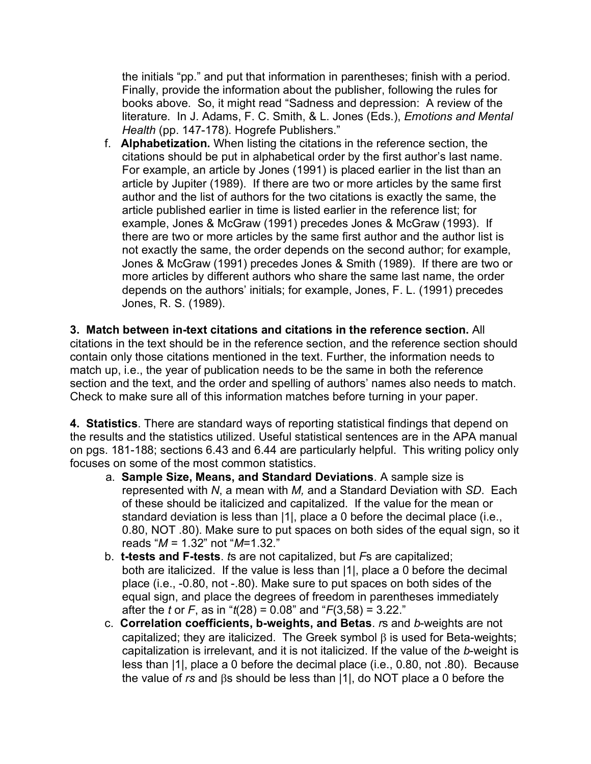the initials "pp." and put that information in parentheses; finish with a period. Finally, provide the information about the publisher, following the rules for books above. So, it might read "Sadness and depression: A review of the literature. In J. Adams, F. C. Smith, & L. Jones (Eds.), *Emotions and Mental Health* (pp. 147-178). Hogrefe Publishers."

f. **Alphabetization.** When listing the citations in the reference section, the citations should be put in alphabetical order by the first author's last name. For example, an article by Jones (1991) is placed earlier in the list than an article by Jupiter (1989). If there are two or more articles by the same first author and the list of authors for the two citations is exactly the same, the article published earlier in time is listed earlier in the reference list; for example, Jones & McGraw (1991) precedes Jones & McGraw (1993). If there are two or more articles by the same first author and the author list is not exactly the same, the order depends on the second author; for example, Jones & McGraw (1991) precedes Jones & Smith (1989). If there are two or more articles by different authors who share the same last name, the order depends on the authors' initials; for example, Jones, F. L. (1991) precedes Jones, R. S. (1989).

**3. Match between in-text citations and citations in the reference section.** All citations in the text should be in the reference section, and the reference section should contain only those citations mentioned in the text. Further, the information needs to match up, i.e., the year of publication needs to be the same in both the reference section and the text, and the order and spelling of authors' names also needs to match. Check to make sure all of this information matches before turning in your paper.

**4. Statistics**. There are standard ways of reporting statistical findings that depend on the results and the statistics utilized. Useful statistical sentences are in the APA manual on pgs. 181-188; sections 6.43 and 6.44 are particularly helpful. This writing policy only focuses on some of the most common statistics.

- a. **Sample Size, Means, and Standard Deviations**. A sample size is represented with *N*, a mean with *M,* and a Standard Deviation with *SD*. Each of these should be italicized and capitalized. If the value for the mean or standard deviation is less than |1|, place a 0 before the decimal place (i.e., 0.80, NOT .80). Make sure to put spaces on both sides of the equal sign, so it reads "*M* = 1.32" not "*M*=1.32."
- b. **t-tests and F-tests**. *t*s are not capitalized, but *F*s are capitalized; both are italicized. If the value is less than |1|, place a 0 before the decimal place (i.e., -0.80, not -.80). Make sure to put spaces on both sides of the equal sign, and place the degrees of freedom in parentheses immediately after the *t* or *F*, as in "*t*(28) = 0.08" and "*F*(3,58) = 3.22."
- c. **Correlation coefficients, b-weights, and Betas**. *r*s and *b*-weights are not capitalized; they are italicized. The Greek symbol  $\beta$  is used for Beta-weights; capitalization is irrelevant, and it is not italicized. If the value of the *b*-weight is less than |1|, place a 0 before the decimal place (i.e., 0.80, not .80). Because the value of  $rs$  and  $\beta s$  should be less than  $|1|$ , do NOT place a 0 before the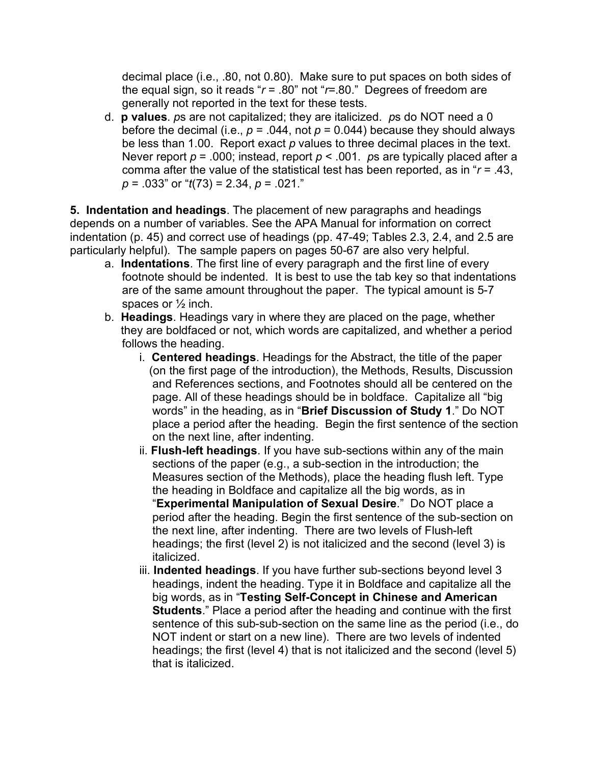decimal place (i.e., .80, not 0.80). Make sure to put spaces on both sides of the equal sign, so it reads " $r = .80$ " not " $r = .80$ ." Degrees of freedom are generally not reported in the text for these tests.

d. **p values**. *p*s are not capitalized; they are italicized. *p*s do NOT need a 0 before the decimal (i.e.,  $p = 0.044$ , not  $p = 0.044$ ) because they should always be less than 1.00. Report exact *p* values to three decimal places in the text. Never report *p* = .000; instead, report *p* < .001. *p*s are typically placed after a comma after the value of the statistical test has been reported, as in "*r* = .43, *p* = .033" or "*t*(73) = 2.34, *p* = .021."

**5. Indentation and headings**. The placement of new paragraphs and headings depends on a number of variables. See the APA Manual for information on correct indentation (p. 45) and correct use of headings (pp. 47-49; Tables 2.3, 2.4, and 2.5 are particularly helpful). The sample papers on pages 50-67 are also very helpful.

- a. **Indentations**. The first line of every paragraph and the first line of every footnote should be indented. It is best to use the tab key so that indentations are of the same amount throughout the paper. The typical amount is 5-7 spaces or ½ inch.
- b. **Headings**. Headings vary in where they are placed on the page, whether they are boldfaced or not, which words are capitalized, and whether a period follows the heading.
	- i. **Centered headings**. Headings for the Abstract, the title of the paper (on the first page of the introduction), the Methods, Results, Discussion and References sections, and Footnotes should all be centered on the page. All of these headings should be in boldface. Capitalize all "big words" in the heading, as in "**Brief Discussion of Study 1**." Do NOT place a period after the heading. Begin the first sentence of the section on the next line, after indenting.
	- ii. **Flush-left headings**. If you have sub-sections within any of the main sections of the paper (e.g., a sub-section in the introduction; the Measures section of the Methods), place the heading flush left. Type the heading in Boldface and capitalize all the big words, as in "**Experimental Manipulation of Sexual Desire**." Do NOT place a period after the heading. Begin the first sentence of the sub-section on the next line, after indenting. There are two levels of Flush-left headings; the first (level 2) is not italicized and the second (level 3) is italicized.
	- iii. **Indented headings**. If you have further sub-sections beyond level 3 headings, indent the heading. Type it in Boldface and capitalize all the big words, as in "**Testing Self-Concept in Chinese and American Students**." Place a period after the heading and continue with the first sentence of this sub-sub-section on the same line as the period (i.e., do NOT indent or start on a new line). There are two levels of indented headings; the first (level 4) that is not italicized and the second (level 5) that is italicized.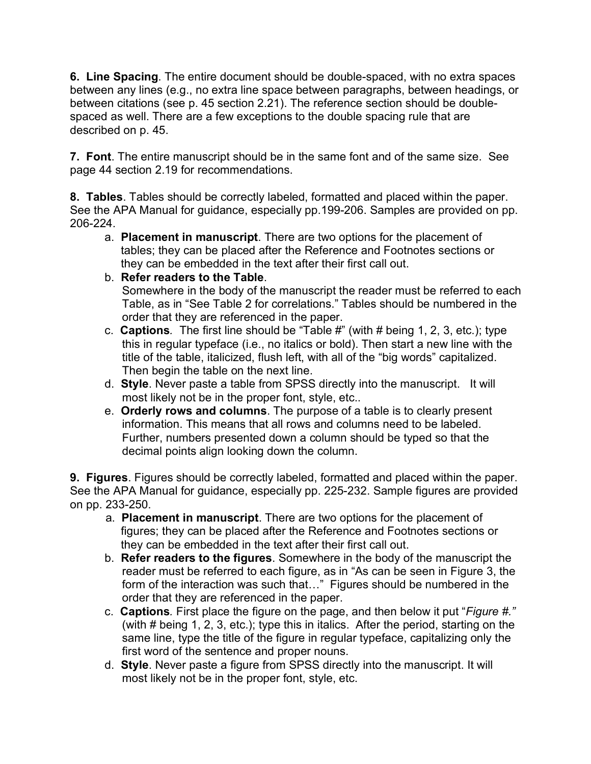**6. Line Spacing**. The entire document should be double-spaced, with no extra spaces between any lines (e.g., no extra line space between paragraphs, between headings, or between citations (see p. 45 section 2.21). The reference section should be doublespaced as well. There are a few exceptions to the double spacing rule that are described on p. 45.

**7. Font**. The entire manuscript should be in the same font and of the same size. See page 44 section 2.19 for recommendations.

**8. Tables**. Tables should be correctly labeled, formatted and placed within the paper. See the APA Manual for guidance, especially pp.199-206. Samples are provided on pp. 206-224.

- a. **Placement in manuscript**. There are two options for the placement of tables; they can be placed after the Reference and Footnotes sections or they can be embedded in the text after their first call out.
- b. **Refer readers to the Table**.

Somewhere in the body of the manuscript the reader must be referred to each Table, as in "See Table 2 for correlations." Tables should be numbered in the order that they are referenced in the paper.

- c. **Captions***.* The first line should be "Table #" (with # being 1, 2, 3, etc.); type this in regular typeface (i.e., no italics or bold). Then start a new line with the title of the table, italicized, flush left, with all of the "big words" capitalized. Then begin the table on the next line.
- d. **Style**. Never paste a table from SPSS directly into the manuscript. It will most likely not be in the proper font, style, etc..
- e. **Orderly rows and columns**. The purpose of a table is to clearly present information. This means that all rows and columns need to be labeled. Further, numbers presented down a column should be typed so that the decimal points align looking down the column.

**9. Figures**. Figures should be correctly labeled, formatted and placed within the paper. See the APA Manual for guidance, especially pp. 225-232. Sample figures are provided on pp. 233-250.

- a. **Placement in manuscript**. There are two options for the placement of figures; they can be placed after the Reference and Footnotes sections or they can be embedded in the text after their first call out.
- b. **Refer readers to the figures**. Somewhere in the body of the manuscript the reader must be referred to each figure, as in "As can be seen in Figure 3, the form of the interaction was such that…" Figures should be numbered in the order that they are referenced in the paper.
- c. **Captions***.* First place the figure on the page, and then below it put "*Figure #."* (with # being 1, 2, 3, etc.); type this in italics. After the period, starting on the same line, type the title of the figure in regular typeface, capitalizing only the first word of the sentence and proper nouns.
- d. **Style**. Never paste a figure from SPSS directly into the manuscript. It will most likely not be in the proper font, style, etc.